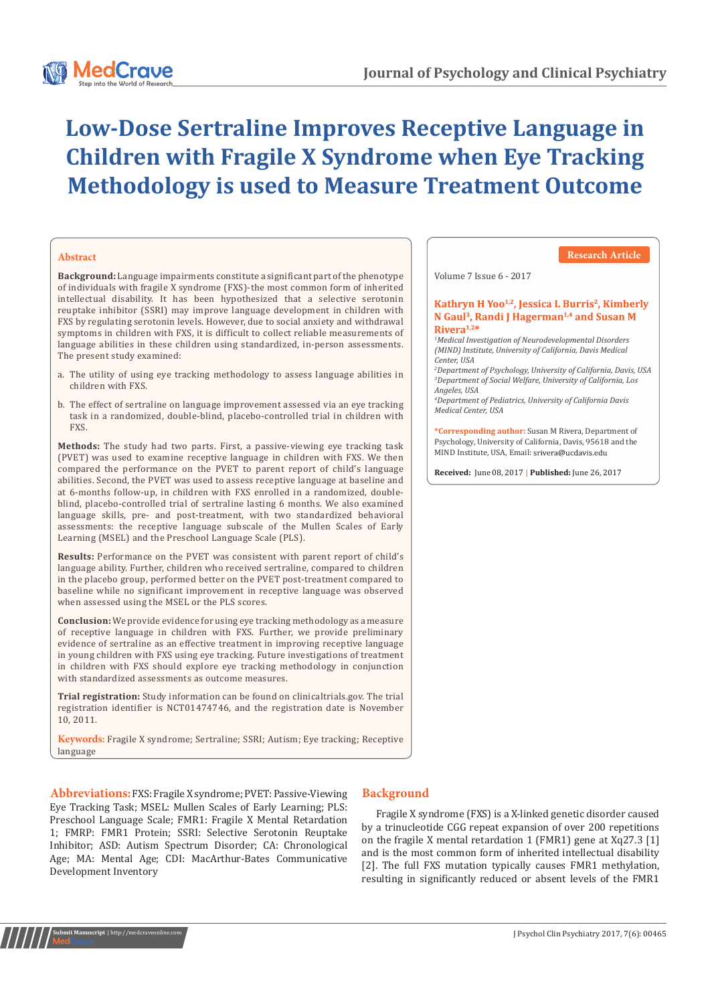# **Low-Dose Sertraline Improves Receptive Language in Children with Fragile X Syndrome when Eye Tracking Methodology is used to Measure Treatment Outcome**

## **Abstract**

**Background:** Language impairments constitute a significant part of the phenotype of individuals with fragile X syndrome (FXS)-the most common form of inherited intellectual disability. It has been hypothesized that a selective serotonin reuptake inhibitor (SSRI) may improve language development in children with FXS by regulating serotonin levels. However, due to social anxiety and withdrawal symptoms in children with FXS, it is difficult to collect reliable measurements of language abilities in these children using standardized, in-person assessments. The present study examined:

- a. The utility of using eye tracking methodology to assess language abilities in children with FXS.
- b. The effect of sertraline on language improvement assessed via an eye tracking task in a randomized, double-blind, placebo-controlled trial in children with FXS.

**Methods:** The study had two parts. First, a passive-viewing eye tracking task (PVET) was used to examine receptive language in children with FXS. We then compared the performance on the PVET to parent report of child's language abilities. Second, the PVET was used to assess receptive language at baseline and at 6-months follow-up, in children with FXS enrolled in a randomized, doubleblind, placebo-controlled trial of sertraline lasting 6 months. We also examined language skills, pre- and post-treatment, with two standardized behavioral assessments: the receptive language subscale of the Mullen Scales of Early Learning (MSEL) and the Preschool Language Scale (PLS).

**Results:** Performance on the PVET was consistent with parent report of child's language ability. Further, children who received sertraline, compared to children in the placebo group, performed better on the PVET post-treatment compared to baseline while no significant improvement in receptive language was observed when assessed using the MSEL or the PLS scores.

**Conclusion:** We provide evidence for using eye tracking methodology as a measure of receptive language in children with FXS. Further, we provide preliminary evidence of sertraline as an effective treatment in improving receptive language in young children with FXS using eye tracking. Future investigations of treatment in children with FXS should explore eye tracking methodology in conjunction with standardized assessments as outcome measures.

**Trial registration:** Study information can be found on clinicaltrials.gov. The trial registration identifier is NCT01474746, and the registration date is November 10, 2011.

**Keywords:** Fragile X syndrome; Sertraline; SSRI; Autism; Eye tracking; Receptive language

**Abbreviations:** FXS: Fragile X syndrome; PVET: Passive-Viewing Eye Tracking Task; MSEL: Mullen Scales of Early Learning; PLS: Preschool Language Scale; FMR1: Fragile X Mental Retardation 1; FMRP: FMR1 Protein; SSRI: Selective Serotonin Reuptake Inhibitor; ASD: Autism Spectrum Disorder; CA: Chronological Age; MA: Mental Age; CDI: MacArthur-Bates Communicative Development Inventory

**Ibmit Manuscript** | http://medcra

## **Background**

Fragile X syndrome (FXS) is a X-linked genetic disorder caused by a trinucleotide CGG repeat expansion of over 200 repetitions on the fragile X mental retardation 1 (FMR1) gene at Xq27.3 [1] and is the most common form of inherited intellectual disability [2]. The full FXS mutation typically causes FMR1 methylation, resulting in significantly reduced or absent levels of the FMR1

## **Research Article**

Volume 7 Issue 6 - 2017

#### Kathryn H Yoo<sup>1,2</sup>, Jessica L Burris<sup>2</sup>, Kimberly N Gaul<sup>3</sup>, Randi J Hagerman<sup>1,4</sup> and Susan M  $Rivera<sup>1,2</sup>$

*1 Medical Investigation of Neurodevelopmental Disorders (MIND) Institute, University of California, Davis Medical Center, USA*

*2 Department of Psychology, University of California, Davis, USA 3 Department of Social Welfare, University of California, Los Angeles, USA*

*4 Department of Pediatrics, University of California Davis Medical Center, USA*

**\*Corresponding author:** Susan M Rivera, Department of Psychology, University of California, Davis, 95618 and the MIND Institute, USA, Email: srivera@ucdavis.edu

**Received:** June 08, 2017 **| Published:** June 26, 2017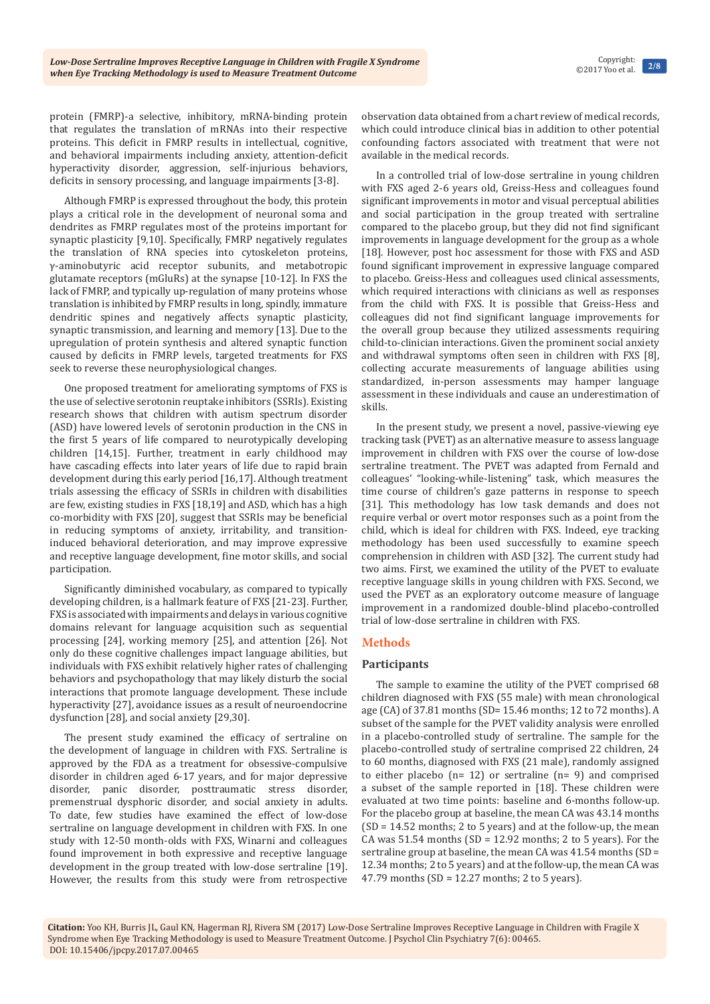protein (FMRP)-a selective, inhibitory, mRNA-binding protein that regulates the translation of mRNAs into their respective proteins. This deficit in FMRP results in intellectual, cognitive, and behavioral impairments including anxiety, attention-deficit hyperactivity disorder, aggression, self-injurious behaviors, deficits in sensory processing, and language impairments [3-8].

Although FMRP is expressed throughout the body, this protein plays a critical role in the development of neuronal soma and dendrites as FMRP regulates most of the proteins important for synaptic plasticity [9,10]. Specifically, FMRP negatively regulates the translation of RNA species into cytoskeleton proteins, γ-aminobutyric acid receptor subunits, and metabotropic glutamate receptors (mGluRs) at the synapse [10-12]. In FXS the lack of FMRP, and typically up-regulation of many proteins whose translation is inhibited by FMRP results in long, spindly, immature dendritic spines and negatively affects synaptic plasticity, synaptic transmission, and learning and memory [13]. Due to the upregulation of protein synthesis and altered synaptic function caused by deficits in FMRP levels, targeted treatments for FXS seek to reverse these neurophysiological changes.

One proposed treatment for ameliorating symptoms of FXS is the use of selective serotonin reuptake inhibitors (SSRIs). Existing research shows that children with autism spectrum disorder (ASD) have lowered levels of serotonin production in the CNS in the first 5 years of life compared to neurotypically developing children [14,15]. Further, treatment in early childhood may have cascading effects into later years of life due to rapid brain development during this early period [16,17]. Although treatment trials assessing the efficacy of SSRIs in children with disabilities are few, existing studies in FXS [18,19] and ASD, which has a high co-morbidity with FXS [20], suggest that SSRIs may be beneficial in reducing symptoms of anxiety, irritability, and transitioninduced behavioral deterioration, and may improve expressive and receptive language development, fine motor skills, and social participation.

Significantly diminished vocabulary, as compared to typically developing children, is a hallmark feature of FXS [21-23]. Further, FXS is associated with impairments and delays in various cognitive domains relevant for language acquisition such as sequential processing [24], working memory [25], and attention [26]. Not only do these cognitive challenges impact language abilities, but individuals with FXS exhibit relatively higher rates of challenging behaviors and psychopathology that may likely disturb the social interactions that promote language development. These include hyperactivity [27], avoidance issues as a result of neuroendocrine dysfunction [28], and social anxiety [29,30].

The present study examined the efficacy of sertraline on the development of language in children with FXS. Sertraline is approved by the FDA as a treatment for obsessive-compulsive disorder in children aged 6-17 years, and for major depressive disorder, panic disorder, posttraumatic stress disorder, premenstrual dysphoric disorder, and social anxiety in adults. To date, few studies have examined the effect of low-dose sertraline on language development in children with FXS. In one study with 12-50 month-olds with FXS, Winarni and colleagues found improvement in both expressive and receptive language development in the group treated with low-dose sertraline [19]. However, the results from this study were from retrospective

observation data obtained from a chart review of medical records, which could introduce clinical bias in addition to other potential confounding factors associated with treatment that were not available in the medical records.

In a controlled trial of low-dose sertraline in young children with FXS aged 2-6 years old, Greiss-Hess and colleagues found significant improvements in motor and visual perceptual abilities and social participation in the group treated with sertraline compared to the placebo group, but they did not find significant improvements in language development for the group as a whole [18]. However, post hoc assessment for those with FXS and ASD found significant improvement in expressive language compared to placebo. Greiss-Hess and colleagues used clinical assessments, which required interactions with clinicians as well as responses from the child with FXS. It is possible that Greiss-Hess and colleagues did not find significant language improvements for the overall group because they utilized assessments requiring child-to-clinician interactions. Given the prominent social anxiety and withdrawal symptoms often seen in children with FXS [8], collecting accurate measurements of language abilities using standardized, in-person assessments may hamper language assessment in these individuals and cause an underestimation of skills.

In the present study, we present a novel, passive-viewing eye tracking task (PVET) as an alternative measure to assess language improvement in children with FXS over the course of low-dose sertraline treatment. The PVET was adapted from Fernald and colleagues' "looking-while-listening" task, which measures the time course of children's gaze patterns in response to speech [31]. This methodology has low task demands and does not require verbal or overt motor responses such as a point from the child, which is ideal for children with FXS. Indeed, eye tracking methodology has been used successfully to examine speech comprehension in children with ASD [32]. The current study had two aims. First, we examined the utility of the PVET to evaluate receptive language skills in young children with FXS. Second, we used the PVET as an exploratory outcome measure of language improvement in a randomized double-blind placebo-controlled trial of low-dose sertraline in children with FXS.

## **Methods**

## **Participants**

The sample to examine the utility of the PVET comprised 68 children diagnosed with FXS (55 male) with mean chronological age (CA) of 37.81 months (SD= 15.46 months; 12 to 72 months). A subset of the sample for the PVET validity analysis were enrolled in a placebo-controlled study of sertraline. The sample for the placebo-controlled study of sertraline comprised 22 children, 24 to 60 months, diagnosed with FXS (21 male), randomly assigned to either placebo (n= 12) or sertraline (n= 9) and comprised a subset of the sample reported in [18]. These children were evaluated at two time points: baseline and 6-months follow-up. For the placebo group at baseline, the mean CA was 43.14 months  $(SD = 14.52$  months; 2 to 5 years) and at the follow-up, the mean CA was  $51.54$  months (SD = 12.92 months; 2 to 5 years). For the sertraline group at baseline, the mean CA was 41.54 months (SD = 12.34 months; 2 to 5 years) and at the follow-up, the mean CA was 47.79 months (SD = 12.27 months; 2 to 5 years).

**Citation:** Yoo KH, Burris JL, Gaul KN, Hagerman RJ, Rivera SM (2017) Low-Dose Sertraline Improves Receptive Language in Children with Fragile X Syndrome when Eye Tracking Methodology is used to Measure Treatment Outcome. J Psychol Clin Psychiatry 7(6): 00465. DOI: [10.15406/jpcpy.2017.07.00465](http://dx.doi.org/10.15406/jpcpy.2017.07.00465)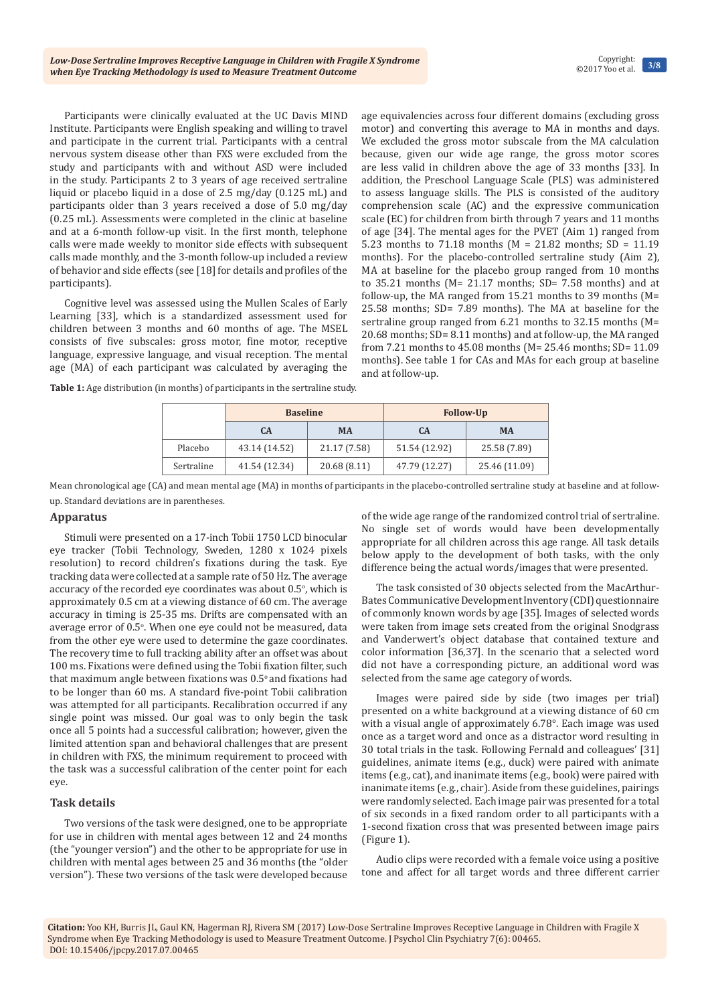Participants were clinically evaluated at the UC Davis MIND Institute. Participants were English speaking and willing to travel and participate in the current trial. Participants with a central nervous system disease other than FXS were excluded from the study and participants with and without ASD were included in the study. Participants 2 to 3 years of age received sertraline liquid or placebo liquid in a dose of 2.5 mg/day (0.125 mL) and participants older than 3 years received a dose of 5.0 mg/day (0.25 mL). Assessments were completed in the clinic at baseline and at a 6-month follow-up visit. In the first month, telephone calls were made weekly to monitor side effects with subsequent calls made monthly, and the 3-month follow-up included a review of behavior and side effects (see [18] for details and profiles of the participants).

Cognitive level was assessed using the Mullen Scales of Early Learning [33], which is a standardized assessment used for children between 3 months and 60 months of age. The MSEL consists of five subscales: gross motor, fine motor, receptive language, expressive language, and visual reception. The mental age (MA) of each participant was calculated by averaging the age equivalencies across four different domains (excluding gross motor) and converting this average to MA in months and days. We excluded the gross motor subscale from the MA calculation because, given our wide age range, the gross motor scores are less valid in children above the age of 33 months [33]. In addition, the Preschool Language Scale (PLS) was administered to assess language skills. The PLS is consisted of the auditory comprehension scale (AC) and the expressive communication scale (EC) for children from birth through 7 years and 11 months of age [34]. The mental ages for the PVET (Aim 1) ranged from 5.23 months to 71.18 months (M = 21.82 months; SD = 11.19 months). For the placebo-controlled sertraline study (Aim 2), MA at baseline for the placebo group ranged from 10 months to  $35.21$  months (M= 21.17 months; SD= 7.58 months) and at follow-up, the MA ranged from 15.21 months to 39 months (M= 25.58 months; SD= 7.89 months). The MA at baseline for the sertraline group ranged from 6.21 months to 32.15 months (M= 20.68 months; SD= 8.11 months) and at follow-up, the MA ranged from 7.21 months to 45.08 months (M= 25.46 months; SD= 11.09 months). See table 1 for CAs and MAs for each group at baseline and at follow-up.

**Table 1:** Age distribution (in months) of participants in the sertraline study.

|            | <b>Baseline</b> |              | <b>Follow-Up</b> |               |
|------------|-----------------|--------------|------------------|---------------|
|            | C <sub>A</sub>  | <b>MA</b>    | CA               | <b>MA</b>     |
| Placebo    | 43.14 (14.52)   | 21.17 (7.58) | 51.54 (12.92)    | 25.58 (7.89)  |
| Sertraline | 41.54 (12.34)   | 20.68 (8.11) | 47.79 (12.27)    | 25.46 (11.09) |

Mean chronological age (CA) and mean mental age (MA) in months of participants in the placebo-controlled sertraline study at baseline and at followup. Standard deviations are in parentheses.

#### **Apparatus**

Stimuli were presented on a 17-inch Tobii 1750 LCD binocular eye tracker (Tobii Technology, Sweden, 1280 x 1024 pixels resolution) to record children's fixations during the task. Eye tracking data were collected at a sample rate of 50 Hz. The average accuracy of the recorded eye coordinates was about  $0.5^{\circ}$ , which is approximately 0.5 cm at a viewing distance of 60 cm. The average accuracy in timing is 25-35 ms. Drifts are compensated with an average error of 0.5°. When one eye could not be measured, data from the other eye were used to determine the gaze coordinates. The recovery time to full tracking ability after an offset was about 100 ms. Fixations were defined using the Tobii fixation filter, such that maximum angle between fixations was  $0.5^{\circ}$  and fixations had to be longer than 60 ms. A standard five-point Tobii calibration was attempted for all participants. Recalibration occurred if any single point was missed. Our goal was to only begin the task once all 5 points had a successful calibration; however, given the limited attention span and behavioral challenges that are present in children with FXS, the minimum requirement to proceed with the task was a successful calibration of the center point for each eye.

## **Task details**

Two versions of the task were designed, one to be appropriate for use in children with mental ages between 12 and 24 months (the "younger version") and the other to be appropriate for use in children with mental ages between 25 and 36 months (the "older version"). These two versions of the task were developed because of the wide age range of the randomized control trial of sertraline. No single set of words would have been developmentally appropriate for all children across this age range. All task details below apply to the development of both tasks, with the only difference being the actual words/images that were presented.

The task consisted of 30 objects selected from the MacArthur-BatesCommunicative Development Inventory (CDI) questionnaire of commonly known words by age [35]. Images of selected words were taken from image sets created from the original Snodgrass and Vanderwert's object database that contained texture and color information [36,37]. In the scenario that a selected word did not have a corresponding picture, an additional word was selected from the same age category of words.

Images were paired side by side (two images per trial) presented on a white background at a viewing distance of 60 cm with a visual angle of approximately 6.78°. Each image was used once as a target word and once as a distractor word resulting in 30 total trials in the task. Following Fernald and colleagues' [31] guidelines, animate items (e.g., duck) were paired with animate items (e.g., cat), and inanimate items (e.g., book) were paired with inanimate items (e.g., chair). Aside from these guidelines, pairings were randomly selected. Each image pair was presented for a total of six seconds in a fixed random order to all participants with a 1-second fixation cross that was presented between image pairs (Figure 1).

Audio clips were recorded with a female voice using a positive tone and affect for all target words and three different carrier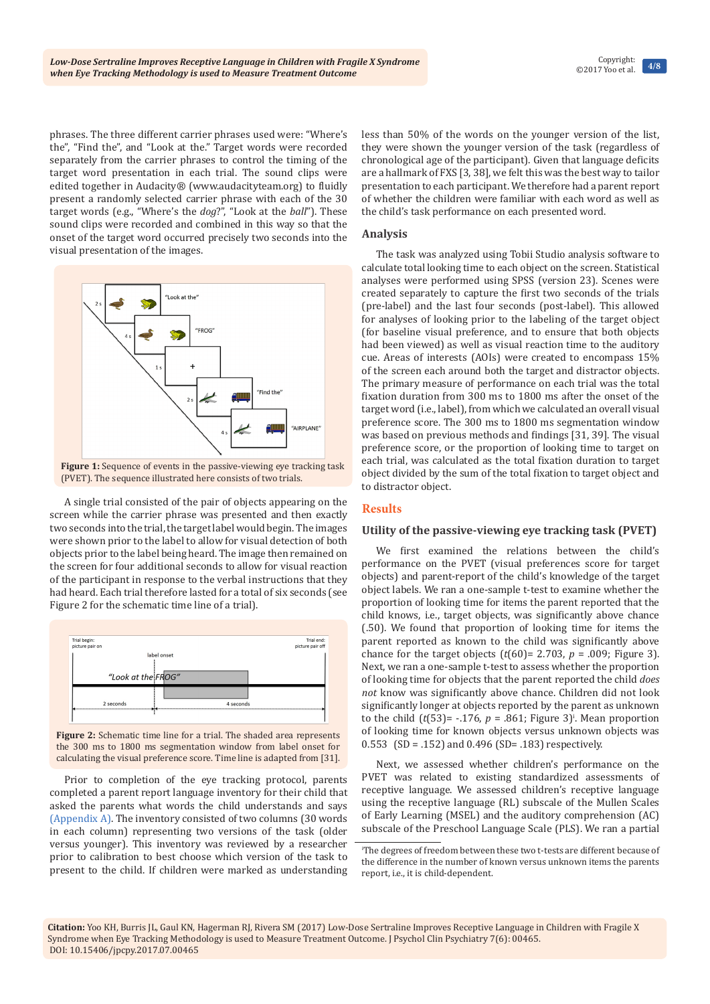phrases. The three different carrier phrases used were: "Where's the", "Find the", and "Look at the." Target words were recorded separately from the carrier phrases to control the timing of the target word presentation in each trial. The sound clips were edited together in Audacity® (www.audacityteam.org) to fluidly present a randomly selected carrier phrase with each of the 30 target words (e.g., "Where's the *dog*?", "Look at the *ball*"). These sound clips were recorded and combined in this way so that the onset of the target word occurred precisely two seconds into the visual presentation of the images.



**Figure 1:** Sequence of events in the passive-viewing eye tracking task (PVET). The sequence illustrated here consists of two trials.

A single trial consisted of the pair of objects appearing on the screen while the carrier phrase was presented and then exactly two seconds into the trial, the target label would begin. The images were shown prior to the label to allow for visual detection of both objects prior to the label being heard. The image then remained on the screen for four additional seconds to allow for visual reaction of the participant in response to the verbal instructions that they had heard. Each trial therefore lasted for a total of six seconds (see Figure 2 for the schematic time line of a trial).



**Figure 2:** Schematic time line for a trial. The shaded area represents the 300 ms to 1800 ms segmentation window from label onset for calculating the visual preference score. Time line is adapted from [31].

Prior to completion of the eye tracking protocol, parents completed a parent report language inventory for their child that asked the parents what words the child understands and says [\(Appendix A\)](http://medcraveonline.com/JPCPY/JPCPY-07-00465A.pdf). The inventory consisted of two columns (30 words in each column) representing two versions of the task (older versus younger). This inventory was reviewed by a researcher prior to calibration to best choose which version of the task to present to the child. If children were marked as understanding

less than 50% of the words on the younger version of the list, they were shown the younger version of the task (regardless of chronological age of the participant). Given that language deficits are a hallmark of FXS [3, 38], we felt this was the best way to tailor presentation to each participant. We therefore had a parent report of whether the children were familiar with each word as well as the child's task performance on each presented word.

## **Analysis**

The task was analyzed using Tobii Studio analysis software to calculate total looking time to each object on the screen. Statistical analyses were performed using SPSS (version 23). Scenes were created separately to capture the first two seconds of the trials (pre-label) and the last four seconds (post-label). This allowed for analyses of looking prior to the labeling of the target object (for baseline visual preference, and to ensure that both objects had been viewed) as well as visual reaction time to the auditory cue. Areas of interests (AOIs) were created to encompass 15% of the screen each around both the target and distractor objects. The primary measure of performance on each trial was the total fixation duration from 300 ms to 1800 ms after the onset of the target word (i.e., label), from which we calculated an overall visual preference score. The 300 ms to 1800 ms segmentation window was based on previous methods and findings [31, 39]. The visual preference score, or the proportion of looking time to target on each trial, was calculated as the total fixation duration to target object divided by the sum of the total fixation to target object and to distractor object.

## **Results**

## **Utility of the passive-viewing eye tracking task (PVET)**

We first examined the relations between the child's performance on the PVET (visual preferences score for target objects) and parent-report of the child's knowledge of the target object labels. We ran a one-sample t-test to examine whether the proportion of looking time for items the parent reported that the child knows, i.e., target objects, was significantly above chance (.50). We found that proportion of looking time for items the parent reported as known to the child was significantly above chance for the target objects  $(t(60)= 2.703, p = .009;$  Figure 3). Next, we ran a one-sample t-test to assess whether the proportion of looking time for objects that the parent reported the child *does not* know was significantly above chance. Children did not look significantly longer at objects reported by the parent as unknown to the child  $(t(53) = -0.176, p = 0.861;$  Figure 3<sup>t</sup>. Mean proportion of looking time for known objects versus unknown objects was  $0.553$  (SD = .152) and  $0.496$  (SD= .183) respectively.

Next, we assessed whether children's performance on the PVET was related to existing standardized assessments of receptive language. We assessed children's receptive language using the receptive language (RL) subscale of the Mullen Scales of Early Learning (MSEL) and the auditory comprehension (AC) subscale of the Preschool Language Scale (PLS). We ran a partial

i The degrees of freedom between these two t-tests are different because of the difference in the number of known versus unknown items the parents report, i.e., it is child-dependent.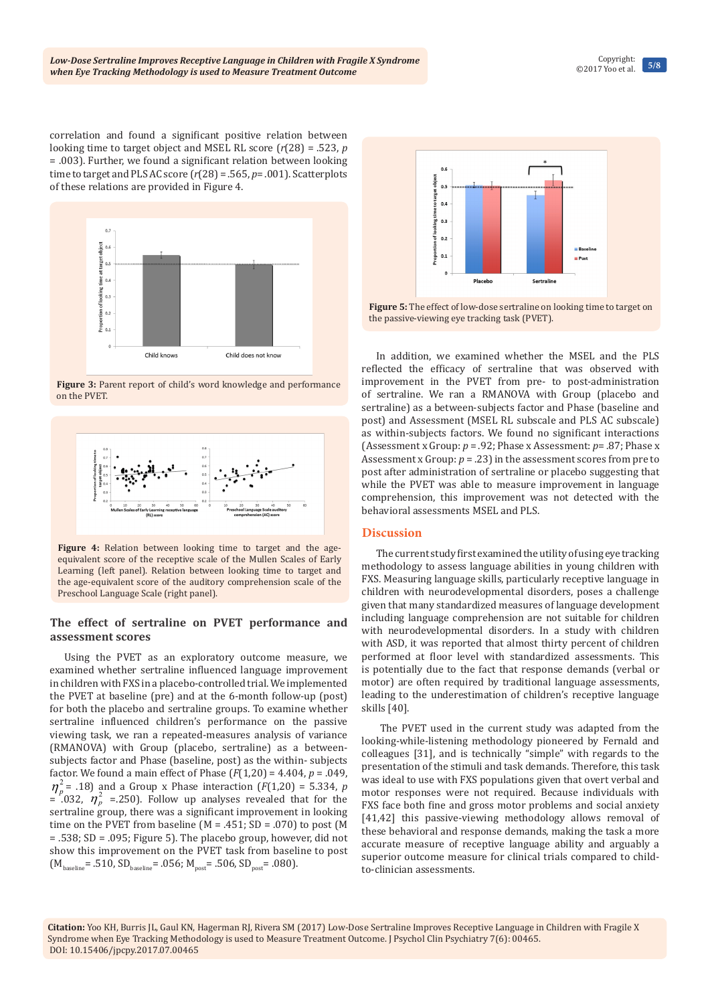correlation and found a significant positive relation between looking time to target object and MSEL RL score (*r*(28) = .523, *p* = .003). Further, we found a significant relation between looking time to target and PLS AC score (*r*(28) = .565, *p*= .001). Scatterplots of these relations are provided in Figure 4.



**Figure 3:** Parent report of child's word knowledge and performance on the PVET.



**Figure 4:** Relation between looking time to target and the ageequivalent score of the receptive scale of the Mullen Scales of Early Learning (left panel). Relation between looking time to target and the age-equivalent score of the auditory comprehension scale of the Preschool Language Scale (right panel).

## **The effect of sertraline on PVET performance and assessment scores**

Using the PVET as an exploratory outcome measure, we examined whether sertraline influenced language improvement in children with FXS in a placebo-controlled trial. We implemented the PVET at baseline (pre) and at the 6-month follow-up (post) for both the placebo and sertraline groups. To examine whether sertraline influenced children's performance on the passive viewing task, we ran a repeated-measures analysis of variance (RMANOVA) with Group (placebo, sertraline) as a betweensubjects factor and Phase (baseline, post) as the within- subjects factor. We found a main effect of Phase  $(F(1,20) = 4.404, p = .049,$  $\eta_p^2$  = .18) and a Group x Phase interaction (*F*(1,20) = 5.334, *p*  $=$  .032,  $\eta_p^2$  = .250). Follow up analyses revealed that for the sertraline group, there was a significant improvement in looking time on the PVET from baseline  $(M = .451; SD = .070)$  to post  $(M$ = .538; SD = .095; Figure 5). The placebo group, however, did not show this improvement on the PVET task from baseline to post  $(M_{\text{baseline}} = .510, SD_{\text{baseline}} = .056; M_{\text{post}} = .506, SD_{\text{post}} = .080).$ 



**Figure 5:** The effect of low-dose sertraline on looking time to target on the passive-viewing eye tracking task (PVET).

In addition, we examined whether the MSEL and the PLS reflected the efficacy of sertraline that was observed with improvement in the PVET from pre- to post-administration of sertraline. We ran a RMANOVA with Group (placebo and sertraline) as a between-subjects factor and Phase (baseline and post) and Assessment (MSEL RL subscale and PLS AC subscale) as within-subjects factors. We found no significant interactions (Assessment x Group: *p* = .92; Phase x Assessment: *p*= .87; Phase x Assessment x Group:  $p = .23$ ) in the assessment scores from pre to post after administration of sertraline or placebo suggesting that while the PVET was able to measure improvement in language comprehension, this improvement was not detected with the behavioral assessments MSEL and PLS.

## **Discussion**

The current study first examined the utility of using eye tracking methodology to assess language abilities in young children with FXS. Measuring language skills, particularly receptive language in children with neurodevelopmental disorders, poses a challenge given that many standardized measures of language development including language comprehension are not suitable for children with neurodevelopmental disorders. In a study with children with ASD, it was reported that almost thirty percent of children performed at floor level with standardized assessments. This is potentially due to the fact that response demands (verbal or motor) are often required by traditional language assessments, leading to the underestimation of children's receptive language skills [40].

 The PVET used in the current study was adapted from the looking-while-listening methodology pioneered by Fernald and colleagues [31], and is technically "simple" with regards to the presentation of the stimuli and task demands. Therefore, this task was ideal to use with FXS populations given that overt verbal and motor responses were not required. Because individuals with FXS face both fine and gross motor problems and social anxiety [41,42] this passive-viewing methodology allows removal of these behavioral and response demands, making the task a more accurate measure of receptive language ability and arguably a superior outcome measure for clinical trials compared to childto-clinician assessments.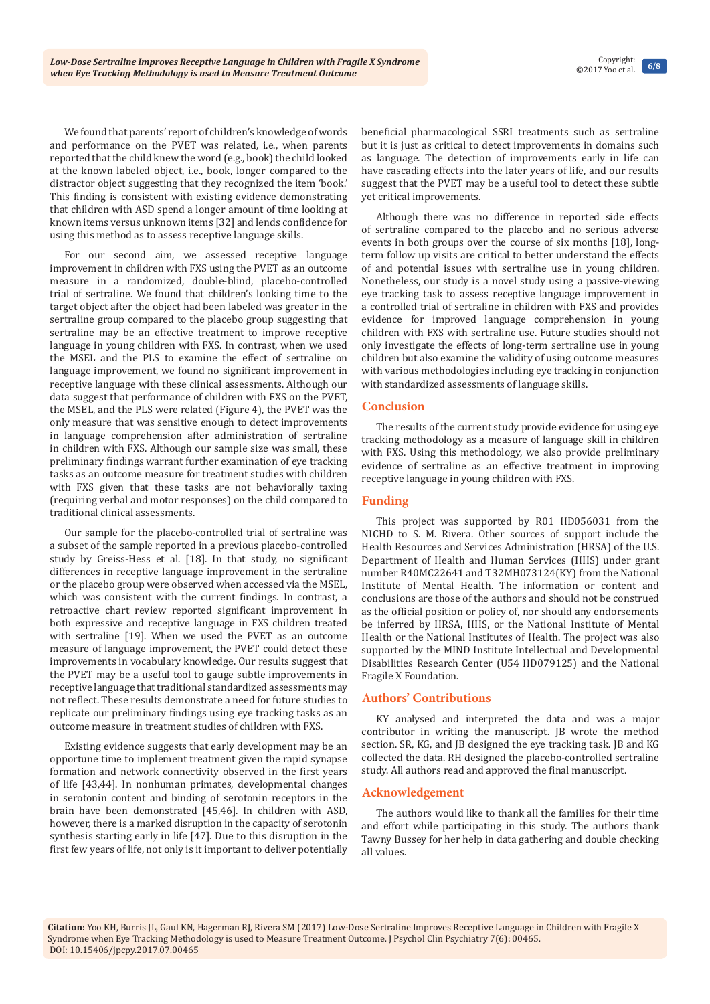We found that parents' report of children's knowledge of words and performance on the PVET was related, i.e., when parents reported that the child knew the word (e.g., book) the child looked at the known labeled object, i.e., book, longer compared to the distractor object suggesting that they recognized the item 'book.' This finding is consistent with existing evidence demonstrating that children with ASD spend a longer amount of time looking at known items versus unknown items [32] and lends confidence for using this method as to assess receptive language skills.

For our second aim, we assessed receptive language improvement in children with FXS using the PVET as an outcome measure in a randomized, double-blind, placebo-controlled trial of sertraline. We found that children's looking time to the target object after the object had been labeled was greater in the sertraline group compared to the placebo group suggesting that sertraline may be an effective treatment to improve receptive language in young children with FXS. In contrast, when we used the MSEL and the PLS to examine the effect of sertraline on language improvement, we found no significant improvement in receptive language with these clinical assessments. Although our data suggest that performance of children with FXS on the PVET, the MSEL, and the PLS were related (Figure 4), the PVET was the only measure that was sensitive enough to detect improvements in language comprehension after administration of sertraline in children with FXS. Although our sample size was small, these preliminary findings warrant further examination of eye tracking tasks as an outcome measure for treatment studies with children with FXS given that these tasks are not behaviorally taxing (requiring verbal and motor responses) on the child compared to traditional clinical assessments.

Our sample for the placebo-controlled trial of sertraline was a subset of the sample reported in a previous placebo-controlled study by Greiss-Hess et al. [18]. In that study, no significant differences in receptive language improvement in the sertraline or the placebo group were observed when accessed via the MSEL, which was consistent with the current findings. In contrast, a retroactive chart review reported significant improvement in both expressive and receptive language in FXS children treated with sertraline [19]. When we used the PVET as an outcome measure of language improvement, the PVET could detect these improvements in vocabulary knowledge. Our results suggest that the PVET may be a useful tool to gauge subtle improvements in receptive language that traditional standardized assessments may not reflect. These results demonstrate a need for future studies to replicate our preliminary findings using eye tracking tasks as an outcome measure in treatment studies of children with FXS.

Existing evidence suggests that early development may be an opportune time to implement treatment given the rapid synapse formation and network connectivity observed in the first years of life [43,44]. In nonhuman primates, developmental changes in serotonin content and binding of serotonin receptors in the brain have been demonstrated [45,46]. In children with ASD, however, there is a marked disruption in the capacity of serotonin synthesis starting early in life [47]. Due to this disruption in the first few years of life, not only is it important to deliver potentially

beneficial pharmacological SSRI treatments such as sertraline but it is just as critical to detect improvements in domains such as language. The detection of improvements early in life can have cascading effects into the later years of life, and our results suggest that the PVET may be a useful tool to detect these subtle yet critical improvements.

Although there was no difference in reported side effects of sertraline compared to the placebo and no serious adverse events in both groups over the course of six months [18], longterm follow up visits are critical to better understand the effects of and potential issues with sertraline use in young children. Nonetheless, our study is a novel study using a passive-viewing eye tracking task to assess receptive language improvement in a controlled trial of sertraline in children with FXS and provides evidence for improved language comprehension in young children with FXS with sertraline use. Future studies should not only investigate the effects of long-term sertraline use in young children but also examine the validity of using outcome measures with various methodologies including eye tracking in conjunction with standardized assessments of language skills.

## **Conclusion**

The results of the current study provide evidence for using eye tracking methodology as a measure of language skill in children with FXS. Using this methodology, we also provide preliminary evidence of sertraline as an effective treatment in improving receptive language in young children with FXS.

## **Funding**

This project was supported by R01 HD056031 from the NICHD to S. M. Rivera. Other sources of support include the Health Resources and Services Administration (HRSA) of the U.S. Department of Health and Human Services (HHS) under grant number R40MC22641 and T32MH073124(KY) from the National Institute of Mental Health. The information or content and conclusions are those of the authors and should not be construed as the official position or policy of, nor should any endorsements be inferred by HRSA, HHS, or the National Institute of Mental Health or the National Institutes of Health. The project was also supported by the MIND Institute Intellectual and Developmental Disabilities Research Center (U54 HD079125) and the National Fragile X Foundation.

## **Authors' Contributions**

KY analysed and interpreted the data and was a major contributor in writing the manuscript. JB wrote the method section. SR, KG, and JB designed the eye tracking task. JB and KG collected the data. RH designed the placebo-controlled sertraline study. All authors read and approved the final manuscript.

## **Acknowledgement**

The authors would like to thank all the families for their time and effort while participating in this study. The authors thank Tawny Bussey for her help in data gathering and double checking all values.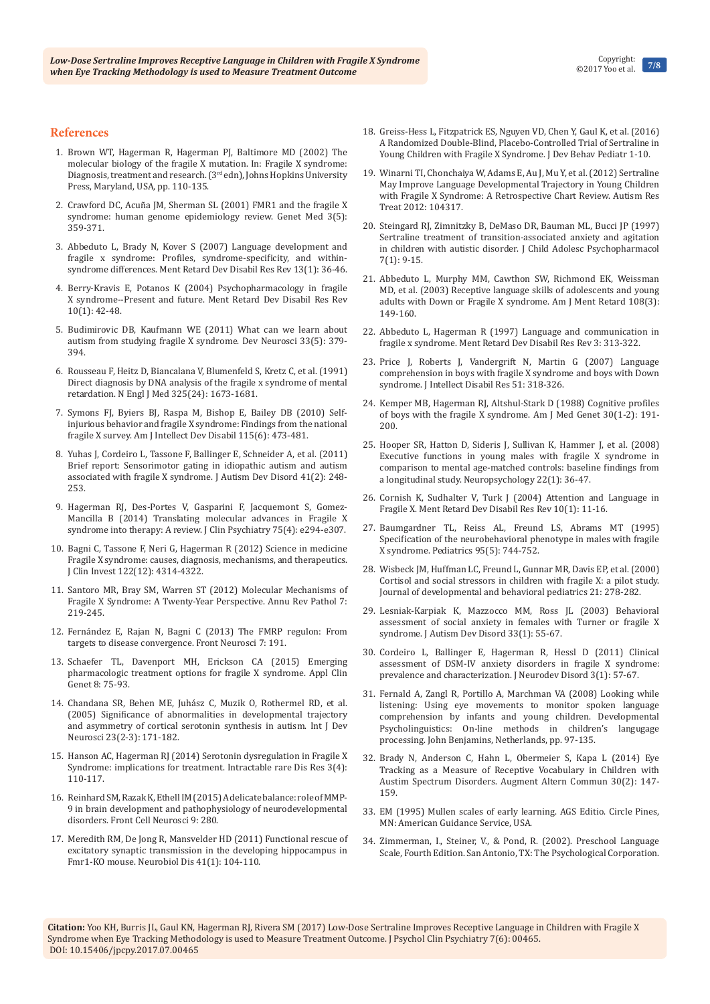#### **References**

- 1. Brown WT, Hagerman R, Hagerman PJ, Baltimore MD (2002) The molecular biology of the fragile X mutation. In: Fragile X syndrome: Diagnosis, treatment and research. (3rd edn), Johns Hopkins University Press, Maryland, USA, pp. 110-135.
- 2. [Crawford DC, Acuña JM, Sherman SL \(2001\) FMR1 and the fragile X](https://www.ncbi.nlm.nih.gov/pubmed/11545690)  [syndrome: human genome epidemiology review. Genet Med 3\(5\):](https://www.ncbi.nlm.nih.gov/pubmed/11545690)  [359-371.](https://www.ncbi.nlm.nih.gov/pubmed/11545690)
- 3. [Abbeduto L, Brady N, Kover S \(2007\) Language development and](https://www.ncbi.nlm.nih.gov/pubmed/17326110)  [fragile x syndrome: Profiles, syndrome-specificity, and within](https://www.ncbi.nlm.nih.gov/pubmed/17326110)[syndrome differences. Ment Retard Dev Disabil Res Rev 13\(1\): 36-46.](https://www.ncbi.nlm.nih.gov/pubmed/17326110)
- 4. [Berry-Kravis E, Potanos K \(2004\) Psychopharmacology in fragile](https://www.ncbi.nlm.nih.gov/pubmed/14994287)  [X syndrome--Present and future. Ment Retard Dev Disabil Res Rev](https://www.ncbi.nlm.nih.gov/pubmed/14994287)  [10\(1\): 42-48.](https://www.ncbi.nlm.nih.gov/pubmed/14994287)
- 5. [Budimirovic DB, Kaufmann WE \(2011\) What can we learn about](https://www.ncbi.nlm.nih.gov/pubmed/21893949)  [autism from studying fragile X syndrome. Dev Neurosci 33\(5\): 379-](https://www.ncbi.nlm.nih.gov/pubmed/21893949) [394.](https://www.ncbi.nlm.nih.gov/pubmed/21893949)
- 6. [Rousseau F, Heitz D, Biancalana V, Blumenfeld S, Kretz C, et al. \(1991\)](https://www.ncbi.nlm.nih.gov/pubmed/1944467)  [Direct diagnosis by DNA analysis of the fragile x syndrome of mental](https://www.ncbi.nlm.nih.gov/pubmed/1944467)  [retardation. N Engl J Med 325\(24\): 1673-1681.](https://www.ncbi.nlm.nih.gov/pubmed/1944467)
- 7. [Symons FJ, Byiers BJ, Raspa M, Bishop E, Bailey DB \(2010\) Self](https://www.ncbi.nlm.nih.gov/pubmed/20946000)[injurious behavior and fragile X syndrome: Findings from the national](https://www.ncbi.nlm.nih.gov/pubmed/20946000)  [fragile X survey. Am J Intellect Dev Disabil 115\(6\): 473-481.](https://www.ncbi.nlm.nih.gov/pubmed/20946000)
- 8. [Yuhas J, Cordeiro L, Tassone F, Ballinger E, Schneider A, et al. \(2011\)](https://www.ncbi.nlm.nih.gov/pubmed/20521090)  [Brief report: Sensorimotor gating in idiopathic autism and autism](https://www.ncbi.nlm.nih.gov/pubmed/20521090)  [associated with fragile X syndrome. J Autism Dev Disord 41\(2\): 248-](https://www.ncbi.nlm.nih.gov/pubmed/20521090) [253.](https://www.ncbi.nlm.nih.gov/pubmed/20521090)
- 9. [Hagerman RJ, Des-Portes V, Gasparini F, Jacquemont S, Gomez-](https://www.ncbi.nlm.nih.gov/pubmed/24813413)[Mancilla B \(2014\) Translating molecular advances in Fragile X](https://www.ncbi.nlm.nih.gov/pubmed/24813413)  [syndrome into therapy: A review. J Clin Psychiatry 75\(4\): e294-e307.](https://www.ncbi.nlm.nih.gov/pubmed/24813413)
- 10. [Bagni C, Tassone F, Neri G, Hagerman R \(2012\) Science in medicine](https://www.ncbi.nlm.nih.gov/pmc/articles/PMC3533539/)  [Fragile X syndrome: causes, diagnosis, mechanisms, and therapeutics.](https://www.ncbi.nlm.nih.gov/pmc/articles/PMC3533539/)  [J Clin Invest 122\(12\): 4314-4322.](https://www.ncbi.nlm.nih.gov/pmc/articles/PMC3533539/)
- 11. [Santoro MR, Bray SM, Warren ST \(2012\) Molecular Mechanisms of](https://www.ncbi.nlm.nih.gov/pubmed/22017584)  [Fragile X Syndrome: A Twenty-Year Perspective. Annu Rev Pathol 7:](https://www.ncbi.nlm.nih.gov/pubmed/22017584)  [219-245.](https://www.ncbi.nlm.nih.gov/pubmed/22017584)
- 12. [Fernández E, Rajan N, Bagni C \(2013\) The FMRP regulon: From](https://www.ncbi.nlm.nih.gov/pubmed/24167470)  [targets to disease convergence. Front Neurosci 7: 191.](https://www.ncbi.nlm.nih.gov/pubmed/24167470)
- 13. [Schaefer TL, Davenport MH, Erickson CA \(2015\) Emerging](https://www.ncbi.nlm.nih.gov/pubmed/25897255)  [pharmacologic treatment options for fragile X syndrome. Appl Clin](https://www.ncbi.nlm.nih.gov/pubmed/25897255)  [Genet 8: 75-93.](https://www.ncbi.nlm.nih.gov/pubmed/25897255)
- 14. [Chandana SR, Behen ME, Juhász C, Muzik O, Rothermel RD, et al.](https://www.ncbi.nlm.nih.gov/pubmed/15749243)  [\(2005\) Significance of abnormalities in developmental trajectory](https://www.ncbi.nlm.nih.gov/pubmed/15749243)  [and asymmetry of cortical serotonin synthesis in autism. Int J Dev](https://www.ncbi.nlm.nih.gov/pubmed/15749243)  [Neurosci 23\(2-3\): 171-182.](https://www.ncbi.nlm.nih.gov/pubmed/15749243)
- 15. [Hanson AC, Hagerman RJ \(2014\) Serotonin dysregulation in Fragile X](https://www.ncbi.nlm.nih.gov/pubmed/25606361)  [Syndrome: implications for treatment. Intractable rare Dis Res 3\(4\):](https://www.ncbi.nlm.nih.gov/pubmed/25606361)  [110-117.](https://www.ncbi.nlm.nih.gov/pubmed/25606361)
- 16. [Reinhard SM, Razak K, Ethell IM \(2015\) A delicate balance: role of MMP-](https://www.ncbi.nlm.nih.gov/pubmed/26283917)[9 in brain development and pathophysiology of neurodevelopmental](https://www.ncbi.nlm.nih.gov/pubmed/26283917)  [disorders. Front Cell Neurosci 9: 280.](https://www.ncbi.nlm.nih.gov/pubmed/26283917)
- 17. [Meredith RM, De Jong R, Mansvelder HD \(2011\) Functional rescue of](https://www.ncbi.nlm.nih.gov/pubmed/20817093)  [excitatory synaptic transmission in the developing hippocampus in](https://www.ncbi.nlm.nih.gov/pubmed/20817093)  [Fmr1-KO mouse. Neurobiol Dis 41\(1\): 104-110.](https://www.ncbi.nlm.nih.gov/pubmed/20817093)
- 18. Greiss-Hess L, Fitzpatrick ES, Nguyen VD, Chen Y, Gaul K, et al. (2016) A Randomized Double-Blind, Placebo-Controlled Trial of Sertraline in Young Children with Fragile X Syndrome. J Dev Behav Pediatr 1-10.
- 19. [Winarni TI, Chonchaiya W, Adams E, Au J, Mu Y, et al. \(2012\) Sertraline](https://www.ncbi.nlm.nih.gov/pubmed/22934167)  [May Improve Language Developmental Trajectory in Young Children](https://www.ncbi.nlm.nih.gov/pubmed/22934167)  [with Fragile X Syndrome: A Retrospective Chart Review. Autism Res](https://www.ncbi.nlm.nih.gov/pubmed/22934167)  [Treat 2012: 104317.](https://www.ncbi.nlm.nih.gov/pubmed/22934167)
- 20. [Steingard RJ, Zimnitzky B, DeMaso DR, Bauman ML, Bucci JP \(1997\)](https://www.ncbi.nlm.nih.gov/pubmed/9192538)  [Sertraline treatment of transition-associated anxiety and agitation](https://www.ncbi.nlm.nih.gov/pubmed/9192538)  [in children with autistic disorder. J Child Adolesc Psychopharmacol](https://www.ncbi.nlm.nih.gov/pubmed/9192538)  [7\(1\): 9-15.](https://www.ncbi.nlm.nih.gov/pubmed/9192538)
- 21. [Abbeduto L, Murphy MM, Cawthon SW, Richmond EK, Weissman](https://www.ncbi.nlm.nih.gov/pubmed/12691594)  [MD, et al. \(2003\) Receptive language skills of adolescents and young](https://www.ncbi.nlm.nih.gov/pubmed/12691594)  [adults with Down or Fragile X syndrome. Am J Ment Retard 108\(3\):](https://www.ncbi.nlm.nih.gov/pubmed/12691594)  [149-160.](https://www.ncbi.nlm.nih.gov/pubmed/12691594)
- 22. Abbeduto L, Hagerman R (1997) Language and communication in fragile x syndrome. Ment Retard Dev Disabil Res Rev 3: 313-322.
- 23. Price J, Roberts J, Vandergrift N, Martin G (2007) Language comprehension in boys with fragile X syndrome and boys with Down syndrome. J Intellect Disabil Res 51: 318-326.
- 24. [Kemper MB, Hagerman RJ, Altshul-Stark D \(1988\) Cognitive profiles](https://www.ncbi.nlm.nih.gov/pubmed/3177444)  [of boys with the fragile X syndrome. Am J Med Genet 30\(1-2\): 191-](https://www.ncbi.nlm.nih.gov/pubmed/3177444) [200.](https://www.ncbi.nlm.nih.gov/pubmed/3177444)
- 25. [Hooper SR, Hatton D, Sideris J, Sullivan K, Hammer J, et al. \(2008\)](https://www.ncbi.nlm.nih.gov/pubmed/18211154)  [Executive functions in young males with fragile X syndrome in](https://www.ncbi.nlm.nih.gov/pubmed/18211154)  [comparison to mental age-matched controls: baseline findings from](https://www.ncbi.nlm.nih.gov/pubmed/18211154)  [a longitudinal study. Neuropsychology 22\(1\): 36-47.](https://www.ncbi.nlm.nih.gov/pubmed/18211154)
- 26. [Cornish K, Sudhalter V, Turk J \(2004\) Attention and Language in](https://www.ncbi.nlm.nih.gov/pubmed/14994283)  [Fragile X. Ment Retard Dev Disabil Res Rev 10\(1\): 11-16.](https://www.ncbi.nlm.nih.gov/pubmed/14994283)
- 27. [Baumgardner TL, Reiss AL, Freund LS, Abrams MT \(1995\)](https://www.ncbi.nlm.nih.gov/pubmed/7724315)  [Specification of the neurobehavioral phenotype in males with fragile](https://www.ncbi.nlm.nih.gov/pubmed/7724315)  [X syndrome. Pediatrics 95\(5\): 744-752.](https://www.ncbi.nlm.nih.gov/pubmed/7724315)
- 28. Wisbeck JM, Huffman LC, Freund L, Gunnar MR, Davis EP, et al. (2000) Cortisol and social stressors in children with fragile X: a pilot study. Journal of developmental and behavioral pediatrics 21: 278-282.
- 29. [Lesniak-Karpiak K, Mazzocco MM, Ross JL \(2003\) Behavioral](https://www.ncbi.nlm.nih.gov/pubmed/12708580)  [assessment of social anxiety in females with Turner or fragile X](https://www.ncbi.nlm.nih.gov/pubmed/12708580)  [syndrome. J Autism Dev Disord 33\(1\): 55-67.](https://www.ncbi.nlm.nih.gov/pubmed/12708580)
- 30. [Cordeiro L, Ballinger E, Hagerman R, Hessl D \(2011\) Clinical](https://www.ncbi.nlm.nih.gov/pubmed/21475730)  [assessment of DSM-IV anxiety disorders in fragile X syndrome:](https://www.ncbi.nlm.nih.gov/pubmed/21475730)  [prevalence and characterization. J Neurodev Disord 3\(1\): 57-67.](https://www.ncbi.nlm.nih.gov/pubmed/21475730)
- 31. Fernald A, Zangl R, Portillo A, Marchman VA (2008) Looking while listening: Using eye movements to monitor spoken language comprehension by infants and young children. Developmental Psycholinguistics: On-line methods in children's langugage processing. John Benjamins, Netherlands, pp. 97-135.
- 32. [Brady N, Anderson C, Hahn L, Obermeier S, Kapa L \(2014\) Eye](https://www.ncbi.nlm.nih.gov/pubmed/24773020)  [Tracking as a Measure of Receptive Vocabulary in Children with](https://www.ncbi.nlm.nih.gov/pubmed/24773020)  [Austim Spectrum Disorders. Augment Altern Commun 30\(2\): 147-](https://www.ncbi.nlm.nih.gov/pubmed/24773020) [159.](https://www.ncbi.nlm.nih.gov/pubmed/24773020)
- 33. EM (1995) Mullen scales of early learning. AGS Editio. Circle Pines, MN: American Guidance Service, USA.
- 34. Zimmerman, I., Steiner, V., & Pond, R. (2002). Preschool Language Scale, Fourth Edition. San Antonio, TX: The Psychological Corporation.